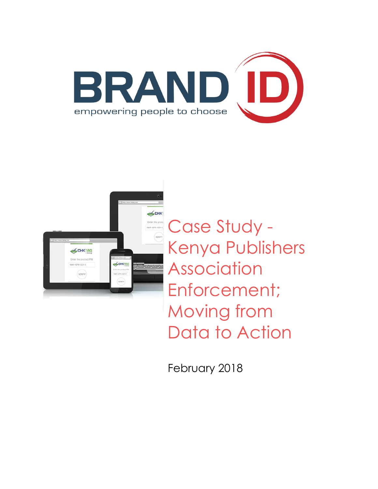



Case Study - Kenya Publishers Association Enforcement; Moving from Data to Action

February 2018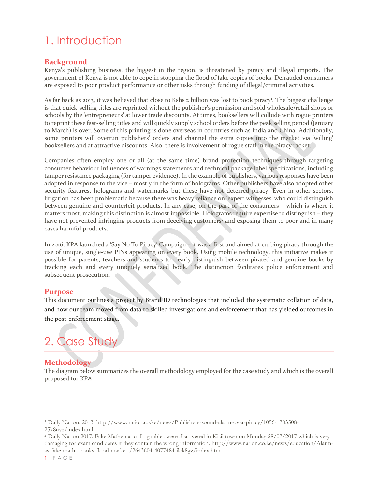# 1. Introduction

## **Background**

Kenya's publishing business, the biggest in the region, is threatened by piracy and illegal imports. The government of Kenya is not able to cope in stopping the flood of fake copies of books. Defrauded consumers are exposed to poor product performance or other risks through funding of illegal/criminal activities.

As far back as 2013, it was believed that close to Kshs 2 billion was lost to book piracy<sup>1</sup>. The biggest challenge is that quick-selling titles are reprinted without the publisher's permission and sold wholesale/retail shops or schools by the 'entrepreneurs' at lower trade discounts. At times, booksellers will collude with rogue printers to reprint these fast-selling titles and will quickly supply school orders before the peak selling period (January to March) is over. Some of this printing is done overseas in countries such as India and China. Additionally, some printers will overrun publishers' orders and channel the extra copies into the market via 'willing' booksellers and at attractive discounts. Also, there is involvement of rogue staff in the piracy racket.

Companies often employ one or all (at the same time) brand protection techniques through targeting consumer behaviour influences of warnings statements and technical package label specifications, including tamper resistance packaging (for tamper evidence). In the example of publishers, various responses have been adopted in response to the vice – mostly in the form of holograms. Other publishers have also adopted other security features, holograms and watermarks but these have not deterred piracy. Even in other sectors, litigation has been problematic because there was heavy reliance on 'expert witnesses' who could distinguish between genuine and counterfeit products. In any case, on the part of the consumers – which is where it matters most, making this distinction is almost impossible. Holograms require expertise to distinguish – they have not prevented infringing products from deceiving customers<sup>2</sup> and exposing them to poor and in many cases harmful products.

In 2016, KPA launched a 'Say No To Piracy' Campaign – it was a first and aimed at curbing piracy through the use of unique, single-use PINs appearing on every book. Using mobile technology, this initiative makes it possible for parents, teachers and students to clearly distinguish between pirated and genuine books by tracking each and every uniquely serialized book. The distinction facilitates police enforcement and subsequent prosecution.

### **Purpose**

This document outlines a project by Brand ID technologies that included the systematic collation of data, and how our team moved from data to skilled investigations and enforcement that has yielded outcomes in the post-enforcement stage.

# 2. Case Study

# **Methodology**

The diagram below summarizes the overall methodology employed for the case study and which is the overall proposed for KPA

<sup>1</sup> Daily Nation, 2013. [http://www.nation.co.ke/news/Publishers-sound-alarm-over-piracy/1056-1703508-](http://www.nation.co.ke/news/Publishers-sound-alarm-over-piracy/1056-1703508-25k8uvz/index.html) [25k8uvz/index.html](http://www.nation.co.ke/news/Publishers-sound-alarm-over-piracy/1056-1703508-25k8uvz/index.html)

<sup>2</sup> Daily Nation 2017. Fake Mathematics Log tables were discovered in Kisii town on Monday 28/07/2017 which is very damaging for exam candidates if they contain the wrong information[. http://www.nation.co.ke/news/education/Alarm](http://www.nation.co.ke/news/education/Alarm-as-fake-maths-books-flood-market-/2643604-4077484-ilck8gz/index.htm)[as-fake-maths-books-flood-market-/2643604-4077484-ilck8gz/index.htm](http://www.nation.co.ke/news/education/Alarm-as-fake-maths-books-flood-market-/2643604-4077484-ilck8gz/index.htm)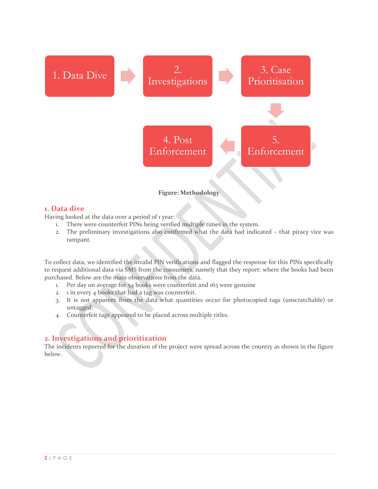

#### **Figure: Methodology**

#### **1. Data dive**

Having looked at the data over a period of 1 year:

- 1. There were counterfeit PINs being verified multiple times in the system.
- 2. The preliminary investigations also confirmed what the data had indicated that piracy vice was rampant.

To collect data, we identified the invalid PIN verifications and flagged the response for this PINs specifically to request additional data via SMS from the consumers, namely that they report: where the books had been purchased. Below are the main observations from the data.

- 1. Per day on average for 54 books were counterfeit and 163 were genuine
- 2. 1 in every 4 books that had a tag was counterfeit.
- 3. It is not apparent from the data what quantities occur for photocopied tags (unscratchable) or untagged.
- 4. Counterfeit tags appeared to be placed across multiple titles.

# **2. Investigations and prioritization**

The incidents reported for the duration of the project were spread across the country as shown in the figure below.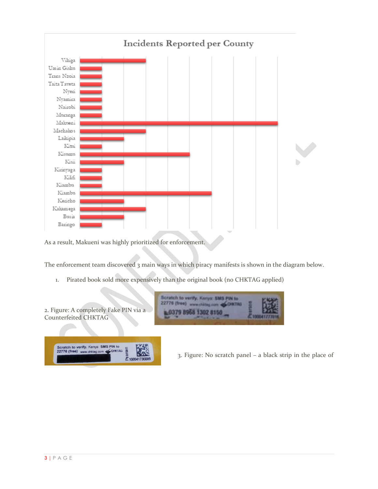

As a result, Makueni was highly prioritized for enforcement.

2 1000417300

The enforcement team discovered 3 main ways in which piracy manifests is shown in the diagram below.

1. Pirated book sold more expensively than the original book (no CHKTAG applied)



3. Figure: No scratch panel – a black strip in the place of

the Chicago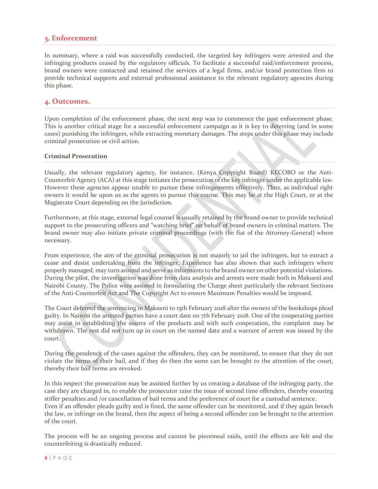## **3. Enforcement**

In summary, where a raid was successfully conducted, the targeted key infringers were arrested and the infringing products ceased by the regulatory officials. To facilitate a successful raid/enforcement process, brand owners were contacted and retained the services of a legal firms, and/or brand protection firm to provide technical supports and external professional assistance to the relevant regulatory agencies during this phase.

#### **4. Outcomes.**

Upon completion of the enforcement phase, the next step was to commence the post enforcement phase. This is another critical stage for a successful enforcement campaign as it is key to deterring (and in some cases) punishing the infringers, while extracting monetary damages. The steps under this phase may include criminal prosecution or civil action.

#### **Criminal Prosecution**

Usually, the relevant regulatory agency, for instance, (Kenya Copyright Board) KECOBO or the Anti-Counterfeit Agency (ACA) at this stage initiates the prosecution of the key infringer under the applicable law. However these agencies appear unable to pursue these infringements effectively. Thus, as individual right owners it would be upon us as the agents to pursue this course. This may be at the High Court, or at the Magistrate Court depending on the jurisdiction.

Furthermore, at this stage, external legal counsel is usually retained by the brand owner to provide technical support to the prosecuting officers and "watching brief" on behalf of brand owners in criminal matters. The brand owner may also initiate private criminal proceedings (with the fiat of the Attorney-General) where necessary.

From experience, the aim of the criminal prosecution is not majorly to jail the infringers, but to extract a cease and desist undertaking from the infringer. Experience has also shown that such infringers where properly managed, may turn around and serve as informants to the brand owner on other potential violations. During the pilot, the investigation was done from data analysis and arrests were made both in Makueni and Nairobi County. The Police were assisted in formulating the Charge sheet particularly the relevant Sections of the Anti-Counterfeit Act and The Copyright Act to ensure Maximum Penalties would be imposed.

The Court deferred the sentencing in Makueni to 15th February 2018 after the owners of the bookshops plead guilty. In Nairobi the arrested parties have a court date on 7th February 2018. One of the cooperating parties may assist in establishing the source of the products and with such cooperation, the complaint may be withdrawn. The rest did not turn up in court on the named date and a warrant of arrest was issued by the court.

During the pendency of the cases against the offenders, they can be monitored, to ensure that they do not violate the terms of their bail, and if they do then the same can be brought to the attention of the court, thereby their bail terms are revoked.

In this respect the prosecution may be assisted further by us creating a database of the infringing party, the case they are charged in, to enable the prosecutor raise the issue of second time offenders, thereby ensuring stiffer penalties and /or cancellation of bail terms and the preference of court for a custodial sentence. Even if an offender pleads guilty and is fined, the same offender can be monitored, and if they again breach the law, or infringe on the brand, then the aspect of being a second offender can be brought to the attention of the court.

The process will be an ongoing process and cannot be piecemeal raids, until the effects are felt and the counterfeiting is drastically reduced.